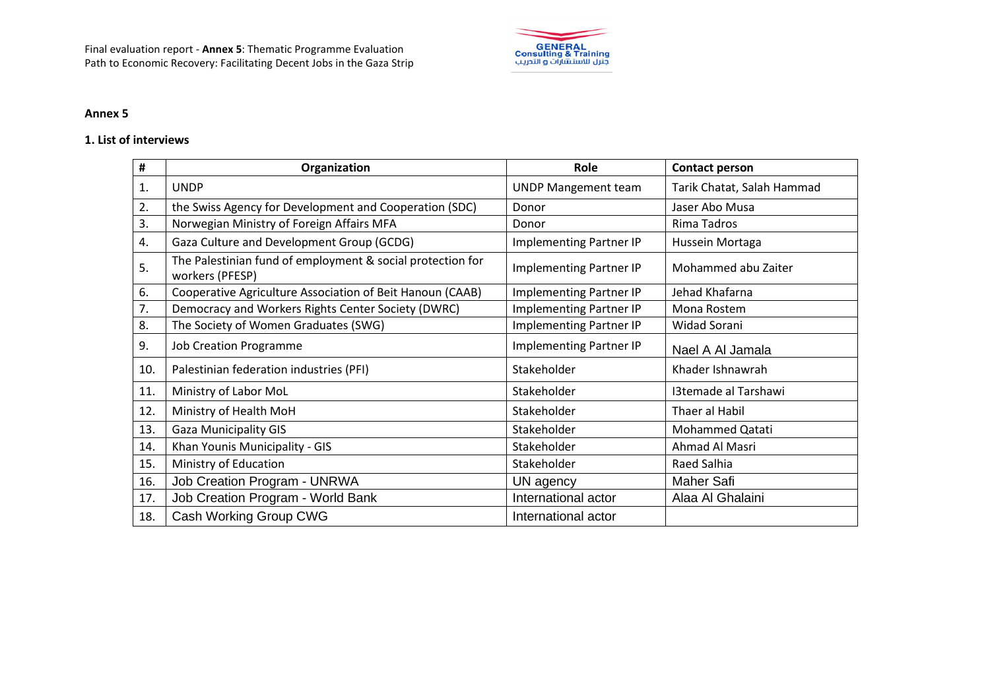

## **Annex 5**

## **1. List of interviews**

| #   | Organization                                                                  | Role                           | <b>Contact person</b>      |
|-----|-------------------------------------------------------------------------------|--------------------------------|----------------------------|
| 1.  | <b>UNDP</b>                                                                   | <b>UNDP Mangement team</b>     | Tarik Chatat, Salah Hammad |
| 2.  | the Swiss Agency for Development and Cooperation (SDC)                        | Donor                          | Jaser Abo Musa             |
| 3.  | Norwegian Ministry of Foreign Affairs MFA                                     | Donor                          | Rima Tadros                |
| 4.  | Gaza Culture and Development Group (GCDG)                                     | <b>Implementing Partner IP</b> | Hussein Mortaga            |
| 5.  | The Palestinian fund of employment & social protection for<br>workers (PFESP) | <b>Implementing Partner IP</b> | Mohammed abu Zaiter        |
| 6.  | Cooperative Agriculture Association of Beit Hanoun (CAAB)                     | <b>Implementing Partner IP</b> | Jehad Khafarna             |
| 7.  | Democracy and Workers Rights Center Society (DWRC)                            | <b>Implementing Partner IP</b> | Mona Rostem                |
| 8.  | The Society of Women Graduates (SWG)                                          | Implementing Partner IP        | Widad Sorani               |
| 9.  | <b>Job Creation Programme</b>                                                 | Implementing Partner IP        | Nael A Al Jamala           |
| 10. | Palestinian federation industries (PFI)                                       | Stakeholder                    | Khader Ishnawrah           |
| 11. | Ministry of Labor MoL                                                         | Stakeholder                    | I3temade al Tarshawi       |
| 12. | Ministry of Health MoH                                                        | Stakeholder                    | Thaer al Habil             |
| 13. | <b>Gaza Municipality GIS</b>                                                  | Stakeholder                    | Mohammed Qatati            |
| 14. | Khan Younis Municipality - GIS                                                | Stakeholder                    | Ahmad Al Masri             |
| 15. | Ministry of Education                                                         | Stakeholder                    | Raed Salhia                |
| 16. | Job Creation Program - UNRWA                                                  | UN agency                      | <b>Maher Safi</b>          |
| 17. | Job Creation Program - World Bank                                             | International actor            | Alaa Al Ghalaini           |
| 18. | Cash Working Group CWG                                                        | International actor            |                            |